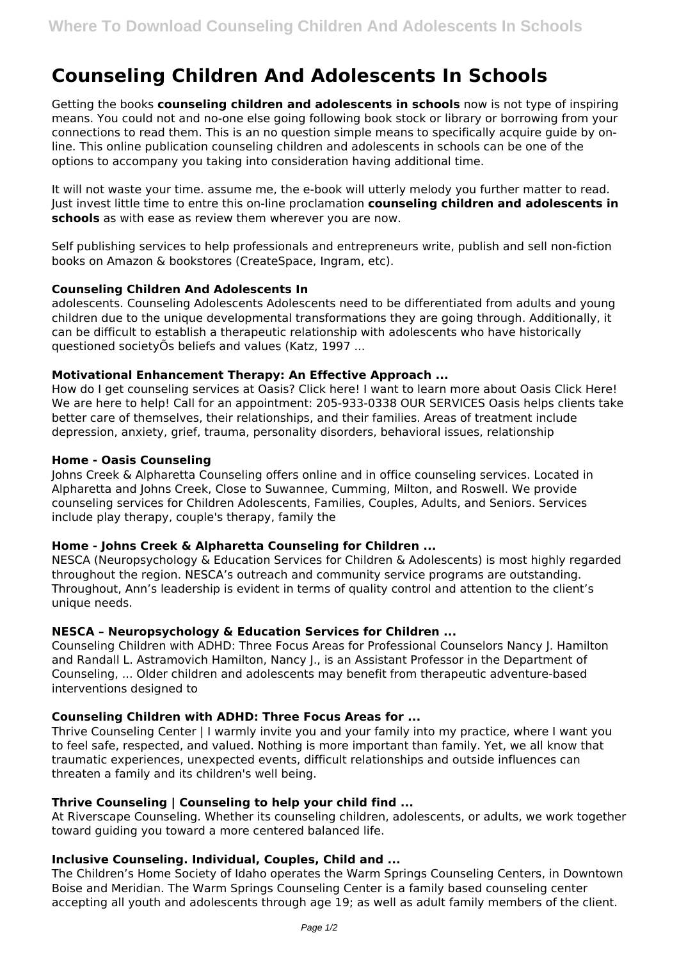# **Counseling Children And Adolescents In Schools**

Getting the books **counseling children and adolescents in schools** now is not type of inspiring means. You could not and no-one else going following book stock or library or borrowing from your connections to read them. This is an no question simple means to specifically acquire guide by online. This online publication counseling children and adolescents in schools can be one of the options to accompany you taking into consideration having additional time.

It will not waste your time. assume me, the e-book will utterly melody you further matter to read. Just invest little time to entre this on-line proclamation **counseling children and adolescents in schools** as with ease as review them wherever you are now.

Self publishing services to help professionals and entrepreneurs write, publish and sell non-fiction books on Amazon & bookstores (CreateSpace, Ingram, etc).

# **Counseling Children And Adolescents In**

adolescents. Counseling Adolescents Adolescents need to be differentiated from adults and young children due to the unique developmental transformations they are going through. Additionally, it can be difficult to establish a therapeutic relationship with adolescents who have historically questioned societyÕs beliefs and values (Katz, 1997 ...

## **Motivational Enhancement Therapy: An Effective Approach ...**

How do I get counseling services at Oasis? Click here! I want to learn more about Oasis Click Here! We are here to help! Call for an appointment: 205-933-0338 OUR SERVICES Oasis helps clients take better care of themselves, their relationships, and their families. Areas of treatment include depression, anxiety, grief, trauma, personality disorders, behavioral issues, relationship

## **Home - Oasis Counseling**

Johns Creek & Alpharetta Counseling offers online and in office counseling services. Located in Alpharetta and Johns Creek, Close to Suwannee, Cumming, Milton, and Roswell. We provide counseling services for Children Adolescents, Families, Couples, Adults, and Seniors. Services include play therapy, couple's therapy, family the

# **Home - Johns Creek & Alpharetta Counseling for Children ...**

NESCA (Neuropsychology & Education Services for Children & Adolescents) is most highly regarded throughout the region. NESCA's outreach and community service programs are outstanding. Throughout, Ann's leadership is evident in terms of quality control and attention to the client's unique needs.

# **NESCA – Neuropsychology & Education Services for Children ...**

Counseling Children with ADHD: Three Focus Areas for Professional Counselors Nancy J. Hamilton and Randall L. Astramovich Hamilton, Nancy J., is an Assistant Professor in the Department of Counseling, ... Older children and adolescents may benefit from therapeutic adventure-based interventions designed to

### **Counseling Children with ADHD: Three Focus Areas for ...**

Thrive Counseling Center | I warmly invite you and your family into my practice, where I want you to feel safe, respected, and valued. Nothing is more important than family. Yet, we all know that traumatic experiences, unexpected events, difficult relationships and outside influences can threaten a family and its children's well being.

### **Thrive Counseling | Counseling to help your child find ...**

At Riverscape Counseling. Whether its counseling children, adolescents, or adults, we work together toward guiding you toward a more centered balanced life.

# **Inclusive Counseling. Individual, Couples, Child and ...**

The Children's Home Society of Idaho operates the Warm Springs Counseling Centers, in Downtown Boise and Meridian. The Warm Springs Counseling Center is a family based counseling center accepting all youth and adolescents through age 19; as well as adult family members of the client.